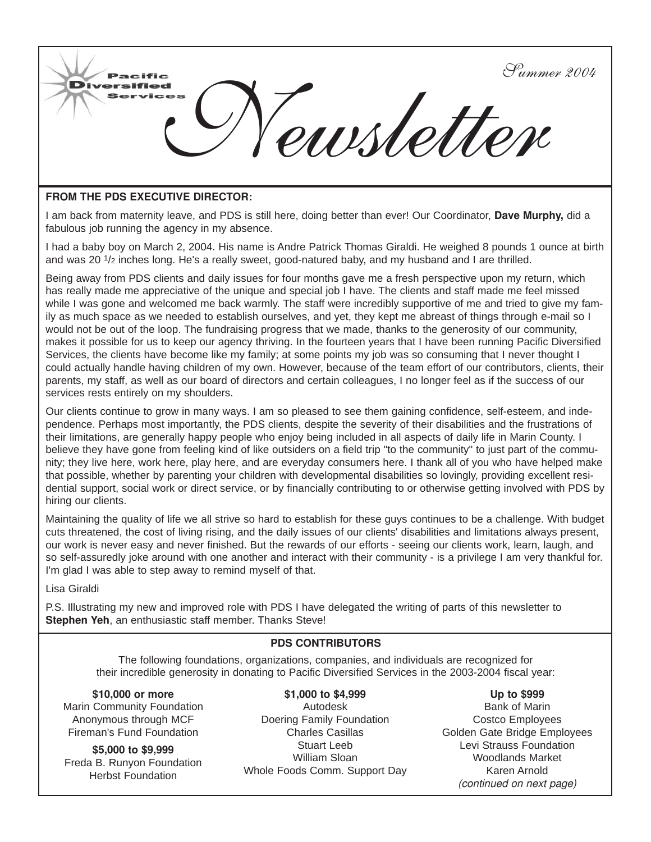

#### **FROM THE PDS EXECUTIVE DIRECTOR:**

I am back from maternity leave, and PDS is still here, doing better than ever! Our Coordinator, **Dave Murphy,** did a fabulous job running the agency in my absence.

I had a baby boy on March 2, 2004. His name is Andre Patrick Thomas Giraldi. He weighed 8 pounds 1 ounce at birth and was 20 1/2 inches long. He's a really sweet, good-natured baby, and my husband and I are thrilled.

Being away from PDS clients and daily issues for four months gave me a fresh perspective upon my return, which has really made me appreciative of the unique and special job I have. The clients and staff made me feel missed while I was gone and welcomed me back warmly. The staff were incredibly supportive of me and tried to give my family as much space as we needed to establish ourselves, and yet, they kept me abreast of things through e-mail so I would not be out of the loop. The fundraising progress that we made, thanks to the generosity of our community, makes it possible for us to keep our agency thriving. In the fourteen years that I have been running Pacific Diversified Services, the clients have become like my family; at some points my job was so consuming that I never thought I could actually handle having children of my own. However, because of the team effort of our contributors, clients, their parents, my staff, as well as our board of directors and certain colleagues, I no longer feel as if the success of our services rests entirely on my shoulders.

Our clients continue to grow in many ways. I am so pleased to see them gaining confidence, self-esteem, and independence. Perhaps most importantly, the PDS clients, despite the severity of their disabilities and the frustrations of their limitations, are generally happy people who enjoy being included in all aspects of daily life in Marin County. I believe they have gone from feeling kind of like outsiders on a field trip "to the community" to just part of the community; they live here, work here, play here, and are everyday consumers here. I thank all of you who have helped make that possible, whether by parenting your children with developmental disabilities so lovingly, providing excellent residential support, social work or direct service, or by financially contributing to or otherwise getting involved with PDS by hiring our clients.

Maintaining the quality of life we all strive so hard to establish for these guys continues to be a challenge. With budget cuts threatened, the cost of living rising, and the daily issues of our clients' disabilities and limitations always present, our work is never easy and never finished. But the rewards of our efforts - seeing our clients work, learn, laugh, and so self-assuredly joke around with one another and interact with their community - is a privilege I am very thankful for. I'm glad I was able to step away to remind myself of that.

Lisa Giraldi

P.S. Illustrating my new and improved role with PDS I have delegated the writing of parts of this newsletter to **Stephen Yeh**, an enthusiastic staff member. Thanks Steve!

## **PDS CONTRIBUTORS**

The following foundations, organizations, companies, and individuals are recognized for their incredible generosity in donating to Pacific Diversified Services in the 2003-2004 fiscal year:

**\$10,000 or more** Marin Community Foundation Anonymous through MCF Fireman's Fund Foundation

**\$5,000 to \$9,999** Freda B. Runyon Foundation Herbst Foundation

**\$1,000 to \$4,999** Autodesk Doering Family Foundation Charles Casillas Stuart Leeb William Sloan Whole Foods Comm. Support Day

**Up to \$999** Bank of Marin Costco Employees Golden Gate Bridge Employees Levi Strauss Foundation Woodlands Market Karen Arnold *(continued on next page)*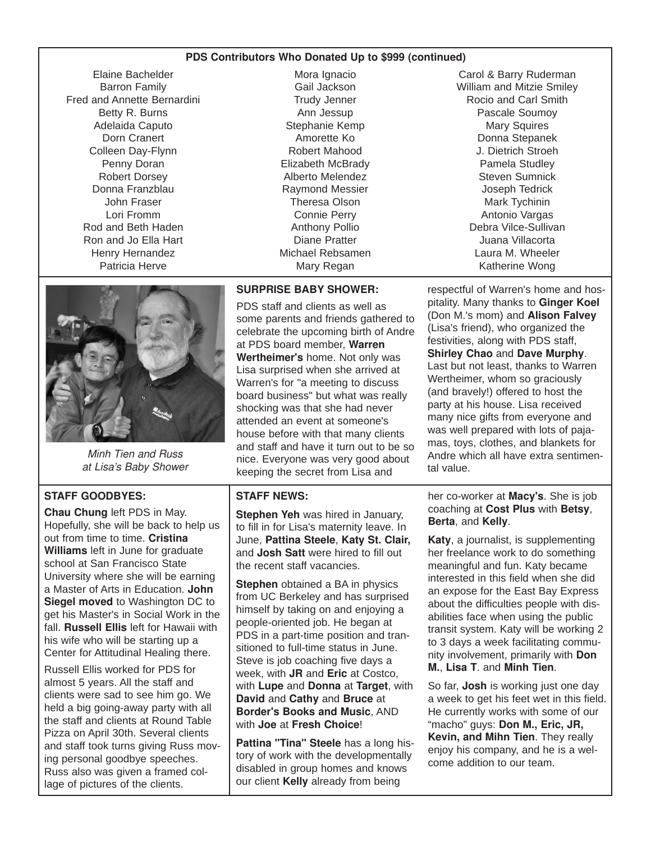#### **PDS Contributors Who Donated Up to \$999 (continued)**

Elaine Bachelder Barron Family Fred and Annette Bernardini Betty R. Burns Adelaida Caputo Dorn Cranert Colleen Day-Flynn Penny Doran Robert Dorsey Donna Franzblau John Fraser Lori Fromm Rod and Beth Haden Ron and Jo Ella Hart Henry Hernandez Patricia Herve

Mora Ignacio Gail Jackson Trudy Jenner Ann Jessup Stephanie Kemp Amorette Ko Robert Mahood Elizabeth McBrady Alberto Melendez Raymond Messier Theresa Olson Connie Perry Anthony Pollio Diane Pratter Michael Rebsamen Mary Regan

*Minh Tien and Russ at Lisa's Baby Shower*

## **STAFF GOODBYES:**

**Chau Chung** left PDS in May. Hopefully, she will be back to help us out from time to time. **Cristina Williams** left in June for graduate school at San Francisco State University where she will be earning a Master of Arts in Education. **John Siegel moved** to Washington DC to get his Master's in Social Work in the fall. **Russell Ellis** left for Hawaii with his wife who will be starting up a Center for Attitudinal Healing there.

Russell Ellis worked for PDS for almost 5 years. All the staff and clients were sad to see him go. We held a big going-away party with all the staff and clients at Round Table Pizza on April 30th. Several clients and staff took turns giving Russ moving personal goodbye speeches. Russ also was given a framed collage of pictures of the clients.

## **SURPRISE BABY SHOWER:**

PDS staff and clients as well as some parents and friends gathered to celebrate the upcoming birth of Andre at PDS board member, **Warren Wertheimer's** home. Not only was Lisa surprised when she arrived at Warren's for "a meeting to discuss board business" but what was really shocking was that she had never attended an event at someone's house before with that many clients and staff and have it turn out to be so nice. Everyone was very good about keeping the secret from Lisa and

## **STAFF NEWS:**

**Stephen Yeh** was hired in January, to fill in for Lisa's maternity leave. In June, **Pattina Steele**, **Katy St. Clair,** and **Josh Satt** were hired to fill out the recent staff vacancies.

**Stephen** obtained a BA in physics from UC Berkeley and has surprised himself by taking on and enjoying a people-oriented job. He began at PDS in a part-time position and transitioned to full-time status in June. Steve is job coaching five days a week, with **JR** and **Eric** at Costco, with **Lupe** and **Donna** at **Target**, with **David** and **Cathy** and **Bruce** at **Border's Books and Music**, AND with **Joe** at **Fresh Choice**!

**Pattina "Tina" Steele** has a long history of work with the developmentally disabled in group homes and knows our client **Kelly** already from being

Carol & Barry Ruderman William and Mitzie Smiley Rocio and Carl Smith Pascale Soumoy Mary Squires Donna Stepanek J. Dietrich Stroeh Pamela Studley Steven Sumnick Joseph Tedrick Mark Tychinin Antonio Vargas Debra Vilce-Sullivan Juana Villacorta Laura M. Wheeler Katherine Wong

respectful of Warren's home and hospitality. Many thanks to **Ginger Koel** (Don M.'s mom) and **Alison Falvey** (Lisa's friend), who organized the festivities, along with PDS staff, **Shirley Chao** and **Dave Murphy**. Last but not least, thanks to Warren Wertheimer, whom so graciously (and bravely!) offered to host the party at his house. Lisa received many nice gifts from everyone and was well prepared with lots of pajamas, toys, clothes, and blankets for Andre which all have extra sentimental value.

her co-worker at **Macy's**. She is job coaching at **Cost Plus** with **Betsy**, **Berta**, and **Kelly**.

**Katy**, a journalist, is supplementing her freelance work to do something meaningful and fun. Katy became interested in this field when she did an expose for the East Bay Express about the difficulties people with disabilities face when using the public transit system. Katy will be working 2 to 3 days a week facilitating community involvement, primarily with **Don M.**, **Lisa T**. and **Minh Tien**.

So far, **Josh** is working just one day a week to get his feet wet in this field. He currently works with some of our "macho" guys: **Don M., Eric, JR, Kevin, and Mihn Tien**. They really enjoy his company, and he is a welcome addition to our team.

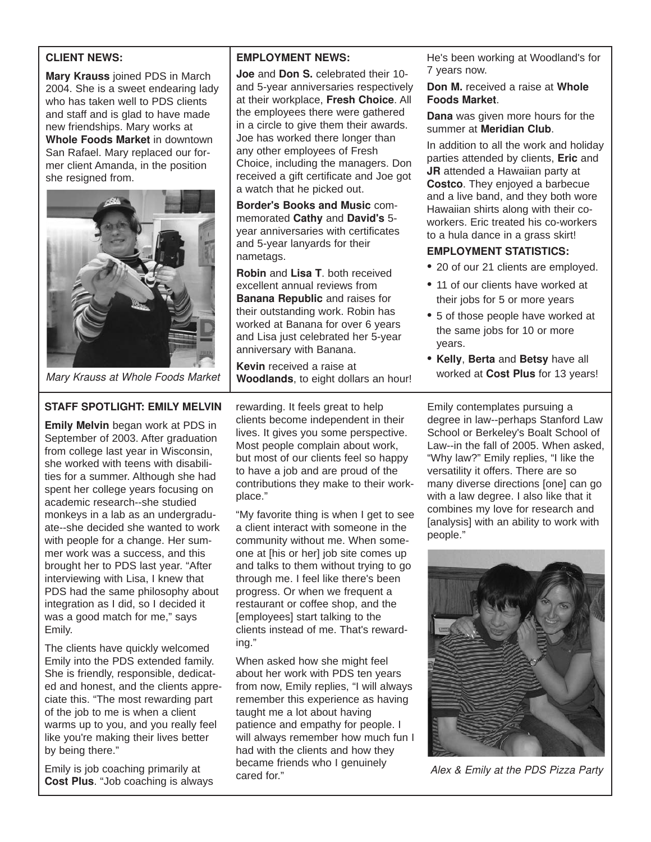## **CLIENT NEWS:**

**Mary Krauss** joined PDS in March 2004. She is a sweet endearing lady who has taken well to PDS clients and staff and is glad to have made new friendships. Mary works at **Whole Foods Market** in downtown San Rafael. Mary replaced our former client Amanda, in the position she resigned from.



*Mary Krauss at Whole Foods Market*

# **STAFF SPOTLIGHT: EMILY MELVIN**

**Emily Melvin** began work at PDS in September of 2003. After graduation from college last year in Wisconsin, she worked with teens with disabilities for a summer. Although she had spent her college years focusing on academic research--she studied monkeys in a lab as an undergraduate--she decided she wanted to work with people for a change. Her summer work was a success, and this brought her to PDS last year. "After interviewing with Lisa, I knew that PDS had the same philosophy about integration as I did, so I decided it was a good match for me," says Emily.

The clients have quickly welcomed Emily into the PDS extended family. She is friendly, responsible, dedicated and honest, and the clients appreciate this. "The most rewarding part of the job to me is when a client warms up to you, and you really feel like you're making their lives better by being there."

Emily is job coaching primarily at **Cost Plus**. "Job coaching is always

## **EMPLOYMENT NEWS:**

**Joe** and **Don S.** celebrated their 10 and 5-year anniversaries respectively at their workplace, **Fresh Choice**. All the employees there were gathered in a circle to give them their awards. Joe has worked there longer than any other employees of Fresh Choice, including the managers. Don received a gift certificate and Joe got a watch that he picked out.

**Border's Books and Music** commemorated **Cathy** and **David's** 5 year anniversaries with certificates and 5-year lanyards for their nametags.

**Robin** and **Lisa T**. both received excellent annual reviews from **Banana Republic** and raises for their outstanding work. Robin has worked at Banana for over 6 years and Lisa just celebrated her 5-year anniversary with Banana.

**Kevin** received a raise at **Woodlands**, to eight dollars an hour!

rewarding. It feels great to help clients become independent in their lives. It gives you some perspective. Most people complain about work, but most of our clients feel so happy to have a job and are proud of the contributions they make to their workplace."

"My favorite thing is when I get to see a client interact with someone in the community without me. When someone at [his or her] job site comes up and talks to them without trying to go through me. I feel like there's been progress. Or when we frequent a restaurant or coffee shop, and the [employees] start talking to the clients instead of me. That's rewarding."

When asked how she might feel about her work with PDS ten years from now, Emily replies, "I will always remember this experience as having taught me a lot about having patience and empathy for people. I will always remember how much fun I had with the clients and how they became friends who I genuinely cared for."

He's been working at Woodland's for 7 years now.

#### **Don M.** received a raise at **Whole Foods Market**.

**Dana** was given more hours for the summer at **Meridian Club**.

In addition to all the work and holiday parties attended by clients, **Eric** and **JR** attended a Hawaiian party at **Costco**. They enjoyed a barbecue and a live band, and they both wore Hawaiian shirts along with their coworkers. Eric treated his co-workers to a hula dance in a grass skirt!

## **EMPLOYMENT STATISTICS:**

- **•** 20 of our 21 clients are employed.
- **•** 11 of our clients have worked at their jobs for 5 or more years
- **•** 5 of those people have worked at the same jobs for 10 or more years.
- **• Kelly**, **Berta** and **Betsy** have all worked at **Cost Plus** for 13 years!

Emily contemplates pursuing a degree in law--perhaps Stanford Law School or Berkeley's Boalt School of Law--in the fall of 2005. When asked, "Why law?" Emily replies, "I like the versatility it offers. There are so many diverse directions [one] can go with a law degree. I also like that it combines my love for research and [analysis] with an ability to work with people."



*Alex & Emily at the PDS Pizza Party*